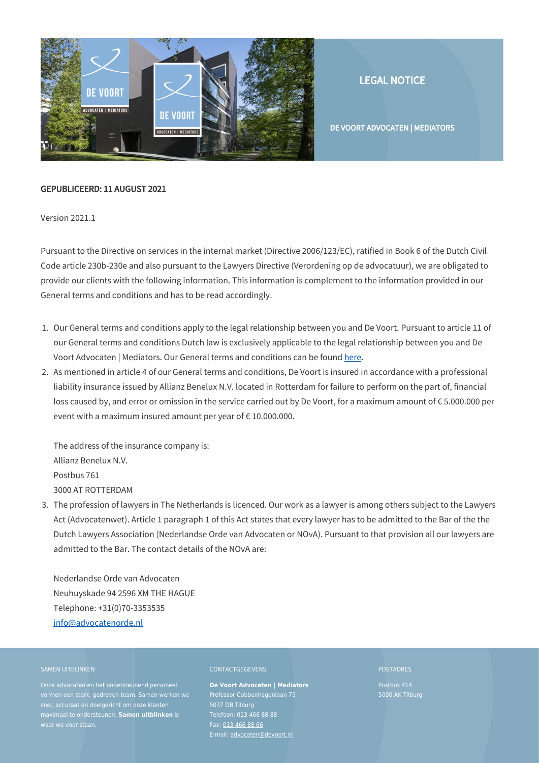

LEGAL NOTICE

DE VOORT ADVOCATEN | MEDIATORS

# GEPUBLICEERD: 11 AUGUST 2021

Version 2021.1

Pursuant to the Directive on services in the internal market (Directive 2006/123/EC), ratified in Book 6 of the Dutch Civil Code article 230b-230e and also pursuant to the Lawyers Directive (Verordening op de advocatuur), we are obligated to provide our clients with the following information. This information is complement to the information provided in our General terms and conditions and has to be read accordingly.

- 1. Our General terms and conditions apply to the legal relationship between you and De Voort. Pursuant to article 11 of our General terms and conditions Dutch law is exclusively applicable to the legal relationship between you and De Voort Advocaten | Mediators. Our General terms and conditions can be found [here](https://www.devoort.nl/en/general-terms/).
- 2. As mentioned in article 4 of our General terms and conditions, De Voort is insured in accordance with a professional liability insurance issued by Allianz Benelux N.V. located in Rotterdam for failure to perform on the part of, financial loss caused by, and error or omission in the service carried out by De Voort, for a maximum amount of € 5.000.000 per event with a maximum insured amount per year of  $\epsilon$  10.000.000.

The address of the insurance company is: Allianz Benelux N.V. Postbus 761 3000 AT ROTTERDAM

3. The profession of lawyers in The Netherlands is licenced. Our work as a lawyer is among others subject to the Lawyers Act (Advocatenwet). Article 1 paragraph 1 of this Act states that every lawyer has to be admitted to the Bar of the the Dutch Lawyers Association (Nederlandse Orde van Advocaten or NOvA). Pursuant to that provision all our lawyers are admitted to the Bar. The contact details of the NOvA are:

Nederlandse Orde van Advocaten Neuhuyskade 94 2596 XM THE HAGUE Telephone: +31(0)70-3353535 [info@advocatenorde.nl](mailto:info@advocatenorde.nl)

# SAMEN UITBLINKEN

Onze advocaten en het ondersteunend personeel vormen een sterk, gedreven team. Samen werken we snel, accuraat en doelgericht om onze klanten maximaal te ondersteunen. **Samen uitblinken** is waar we voor staan.

# CONTACTGEGEVENS

**De Voort Advocaten | Mediators** Professor Cobbenhagenlaan 75 5037 DB Tilburg Telefoon: [013 466 88 88](#page--1-0) Fax: [013 466 88 66](#page--1-0) E-mail: [advocaten@devoort.nl](mailto:advocaten@devoort.nl)

#### POSTADRES

Postbus 414 5000 AK Tilburg